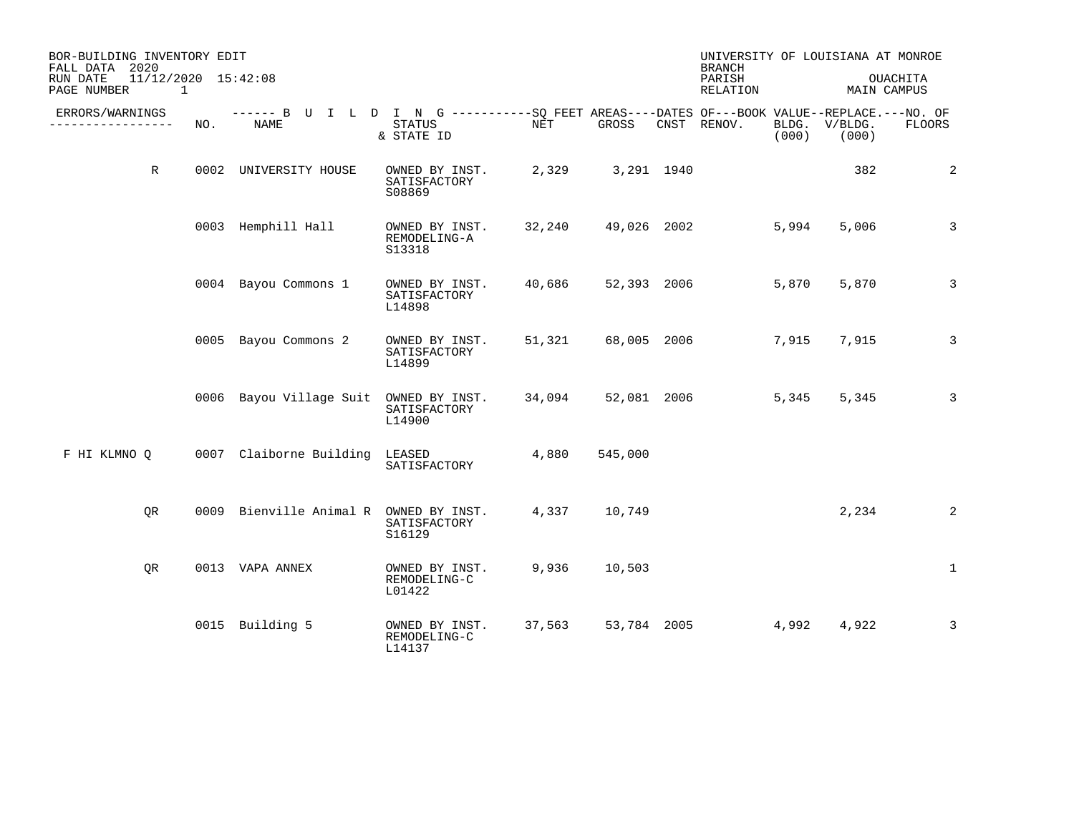| BOR-BUILDING INVENTORY EDIT<br>FALL DATA 2020 |                          |     |                                                                                                     |                                          |        |             | <b>BRANCH</b>      |                | UNIVERSITY OF LOUISIANA AT MONROE |                 |
|-----------------------------------------------|--------------------------|-----|-----------------------------------------------------------------------------------------------------|------------------------------------------|--------|-------------|--------------------|----------------|-----------------------------------|-----------------|
| RUN DATE<br>PAGE NUMBER                       | 11/12/2020 15:42:08<br>1 |     |                                                                                                     |                                          |        |             | PARISH<br>RELATION |                | MAIN CAMPUS                       | <b>OUACHITA</b> |
| ERRORS/WARNINGS<br>--------------             |                          | NO. | ------ B U I L D I N G -----------SQ FEET AREAS----DATES OF---BOOK VALUE--REPLACE.---NO. OF<br>NAME | STATUS<br>& STATE ID                     | NET    | GROSS       | CNST RENOV.        | BLDG.<br>(000) | V/BLDG.<br>(000)                  | FLOORS          |
|                                               | R                        |     | 0002 UNIVERSITY HOUSE                                                                               | OWNED BY INST.<br>SATISFACTORY<br>S08869 | 2,329  | 3,291 1940  |                    |                | 382                               | 2               |
|                                               |                          |     | 0003 Hemphill Hall                                                                                  | OWNED BY INST.<br>REMODELING-A<br>S13318 | 32,240 | 49,026 2002 |                    | 5,994          | 5,006                             | 3               |
|                                               |                          |     | 0004 Bayou Commons 1                                                                                | OWNED BY INST.<br>SATISFACTORY<br>L14898 | 40,686 | 52,393 2006 |                    | 5,870          | 5,870                             | 3               |
|                                               |                          |     | 0005 Bayou Commons 2                                                                                | OWNED BY INST.<br>SATISFACTORY<br>L14899 | 51,321 | 68,005 2006 |                    | 7,915          | 7,915                             | 3               |
|                                               |                          |     | 0006 Bayou Village Suit                                                                             | OWNED BY INST.<br>SATISFACTORY<br>L14900 | 34,094 | 52,081 2006 |                    | 5,345          | 5,345                             | 3               |
| F HI KLMNO Q                                  |                          |     | 0007 Claiborne Building                                                                             | LEASED<br>SATISFACTORY                   | 4,880  | 545,000     |                    |                |                                   |                 |
|                                               | OR                       |     | 0009 Bienville Animal R OWNED BY INST.                                                              | SATISFACTORY<br>S16129                   | 4,337  | 10,749      |                    |                | 2,234                             | 2               |
|                                               | QR                       |     | 0013 VAPA ANNEX                                                                                     | OWNED BY INST.<br>REMODELING-C<br>L01422 | 9,936  | 10,503      |                    |                |                                   | $\mathbf{1}$    |
|                                               |                          |     | 0015 Building 5                                                                                     | OWNED BY INST.<br>REMODELING-C<br>L14137 | 37,563 | 53,784 2005 |                    | 4,992          | 4,922                             | 3               |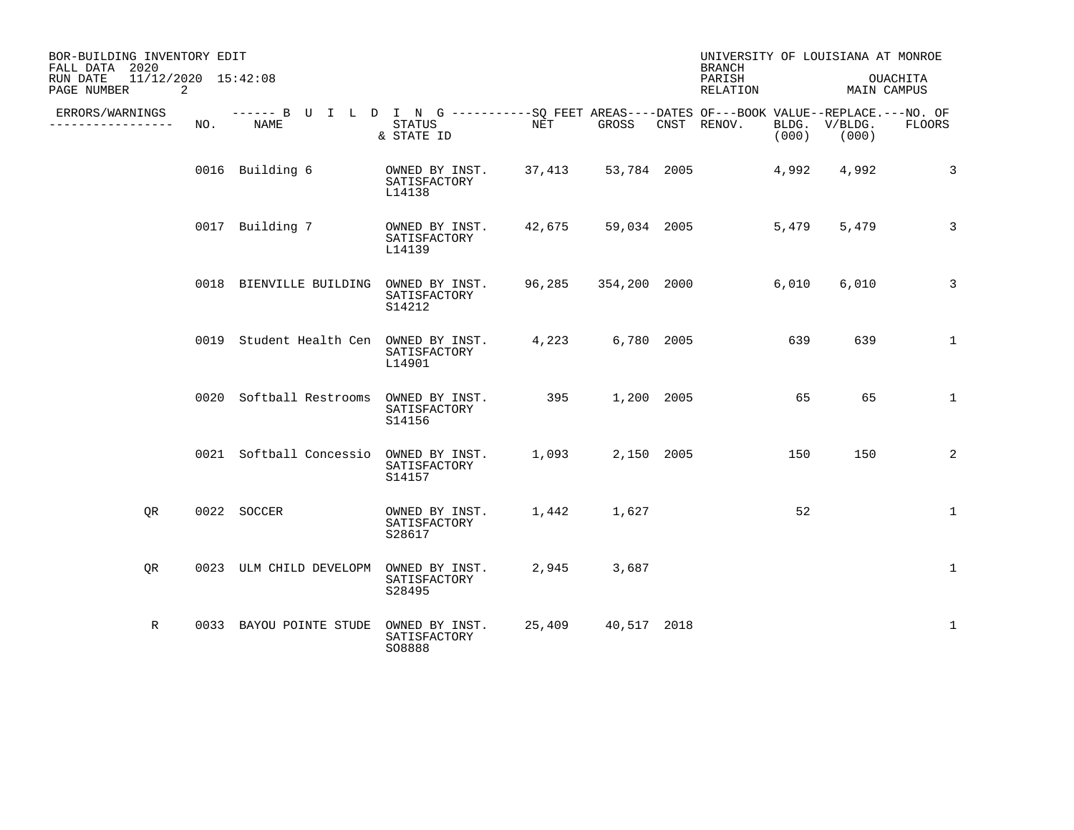| BOR-BUILDING INVENTORY EDIT<br>FALL DATA 2020  |     |                                                                                                     |                                                             |                                                                                                           |                    | <b>BRANCH</b>      |       | UNIVERSITY OF LOUISIANA AT MONROE |                |
|------------------------------------------------|-----|-----------------------------------------------------------------------------------------------------|-------------------------------------------------------------|-----------------------------------------------------------------------------------------------------------|--------------------|--------------------|-------|-----------------------------------|----------------|
| 11/12/2020 15:42:08<br>RUN DATE<br>PAGE NUMBER | 2   |                                                                                                     |                                                             |                                                                                                           |                    | PARISH<br>RELATION |       | MAIN CAMPUS                       | OUACHITA       |
| ERRORS/WARNINGS<br>----------------            | NO. | ------ B U I L D I N G -----------SO FEET AREAS----DATES OF---BOOK VALUE--REPLACE.---NO. OF<br>NAME | STATUS<br>& STATE ID                                        | <b>STARFED STARFED STARFED STARFED STARFED STARFED STARFED STARFED STARFED STARFED STARFED STARFED ST</b> | GROSS CNST RENOV.  |                    |       | BLDG. V/BLDG.<br>$(000)$ (000)    | FLOORS         |
|                                                |     | 0016 Building 6                                                                                     | OWNED BY INST. 37,413 53,784 2005<br>SATISFACTORY<br>L14138 |                                                                                                           |                    |                    | 4,992 | 4,992                             | $\overline{3}$ |
|                                                |     | 0017 Building 7                                                                                     | OWNED BY INST. 42,675 59,034 2005<br>SATISFACTORY<br>L14139 |                                                                                                           |                    |                    | 5,479 | 5,479                             | $\overline{3}$ |
|                                                |     | 0018 BIENVILLE BUILDING OWNED BY INST. 96,285 354,200 2000                                          | SATISFACTORY<br>S14212                                      |                                                                                                           |                    |                    | 6,010 | 6,010                             | $\mathbf{3}$   |
|                                                |     | 0019 Student Health Cen OWNED BY INST. 4,223 6,780 2005                                             | SATISFACTORY<br>L14901                                      |                                                                                                           |                    |                    | 639   | 639                               | $\mathbf{1}$   |
|                                                |     | 0020 Softball Restrooms OWNED BY INST.                                                              | SATISFACTORY<br>S14156                                      | 395 1,200 2005                                                                                            |                    |                    | 65    | 65                                | $\mathbf{1}$   |
|                                                |     | 0021 Softball Concessio OWNED BY INST. 1,093 2,150 2005                                             | SATISFACTORY<br>S14157                                      |                                                                                                           |                    |                    | 150   | 150                               | 2              |
| OR                                             |     | 0022 SOCCER                                                                                         | OWNED BY INST.<br>SATISFACTORY<br>S28617                    |                                                                                                           | 1,442 1,627        |                    | 52    |                                   | $\mathbf{1}$   |
| OR                                             |     | 0023 ULM CHILD DEVELOPM                                                                             | OWNED BY INST.<br>SATISFACTORY<br>S28495                    |                                                                                                           | 2,945 3,687        |                    |       |                                   | $\mathbf 1$    |
| R                                              |     | 0033 BAYOU POINTE STUDE                                                                             | OWNED BY INST.<br>SATISFACTORY<br>S08888                    |                                                                                                           | 25,409 40,517 2018 |                    |       |                                   | 1              |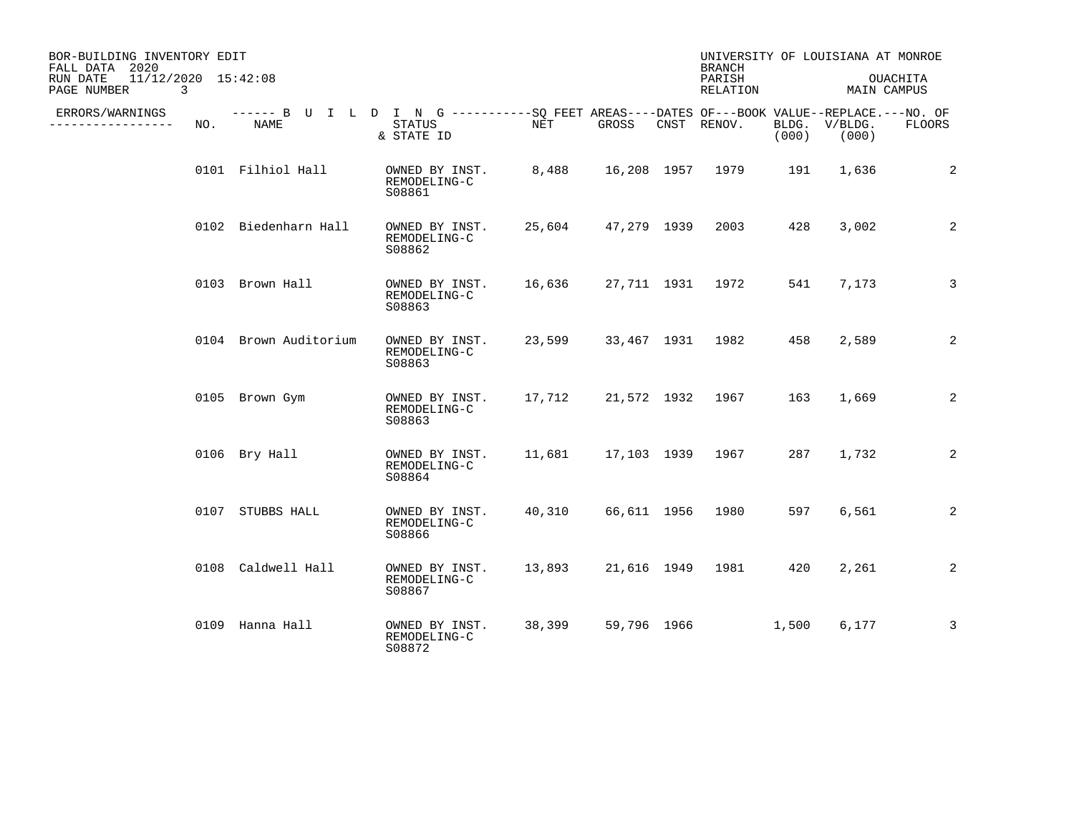| BOR-BUILDING INVENTORY EDIT<br>FALL DATA 2020  |     |                       |                                                                                                                     |        |             | <b>BRANCH</b>      |                | UNIVERSITY OF LOUISIANA AT MONROE |                |
|------------------------------------------------|-----|-----------------------|---------------------------------------------------------------------------------------------------------------------|--------|-------------|--------------------|----------------|-----------------------------------|----------------|
| 11/12/2020 15:42:08<br>RUN DATE<br>PAGE NUMBER | 3   |                       |                                                                                                                     |        |             | PARISH<br>RELATION |                | MAIN CAMPUS                       | OUACHITA       |
| ERRORS/WARNINGS<br>---------                   | NO. | NAME                  | ------ B U I L D I N G -----------SO FEET AREAS----DATES OF---BOOK VALUE--REPLACE.---NO. OF<br>STATUS<br>& STATE ID | NET    | GROSS       | CNST RENOV.        | BLDG.<br>(000) | V/BLDG.<br>(000)                  | FLOORS         |
|                                                |     | 0101 Filhiol Hall     | OWNED BY INST.<br>REMODELING-C<br>S08861                                                                            | 8,488  |             | 16,208 1957 1979   | 191            | 1,636                             | 2              |
|                                                |     | 0102 Biedenharn Hall  | OWNED BY INST.<br>REMODELING-C<br>S08862                                                                            | 25,604 | 47,279 1939 | 2003               | 428            | 3,002                             | 2              |
|                                                |     | 0103 Brown Hall       | OWNED BY INST.<br>REMODELING-C<br>S08863                                                                            | 16,636 |             | 27,711 1931 1972   | 541            | 7,173                             | 3              |
|                                                |     | 0104 Brown Auditorium | OWNED BY INST.<br>REMODELING-C<br>S08863                                                                            | 23,599 |             | 33,467 1931 1982   | 458            | 2,589                             | 2              |
|                                                |     | 0105 Brown Gym        | OWNED BY INST.<br>REMODELING-C<br>S08863                                                                            | 17,712 |             | 21,572 1932 1967   | 163            | 1,669                             | $\overline{2}$ |
|                                                |     | 0106 Bry Hall         | OWNED BY INST.<br>REMODELING-C<br>S08864                                                                            | 11,681 |             | 17,103  1939  1967 | 287            | 1,732                             | 2              |
|                                                |     | 0107 STUBBS HALL      | OWNED BY INST.<br>REMODELING-C<br>S08866                                                                            | 40,310 |             | 66,611 1956 1980   | 597            | 6,561                             | 2              |
|                                                |     | 0108 Caldwell Hall    | OWNED BY INST.<br>REMODELING-C<br>S08867                                                                            | 13,893 |             | 21,616 1949 1981   | 420            | 2,261                             | 2              |
|                                                |     | 0109 Hanna Hall       | OWNED BY INST.<br>REMODELING-C<br>S08872                                                                            | 38,399 | 59,796 1966 |                    | 1,500          | 6,177                             | 3              |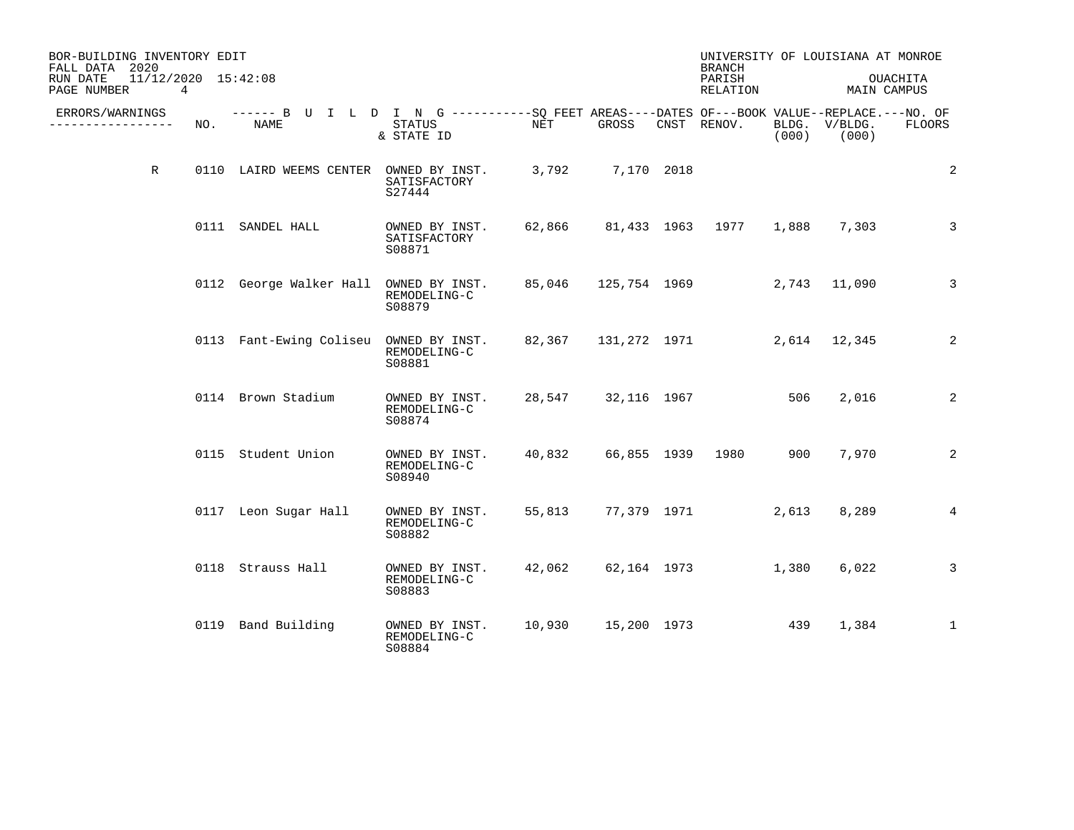| BOR-BUILDING INVENTORY EDIT<br>FALL DATA 2020  |     |                                                                                                     |                                          |                      |                    | <b>BRANCH</b>       |          | UNIVERSITY OF LOUISIANA AT MONROE |              |
|------------------------------------------------|-----|-----------------------------------------------------------------------------------------------------|------------------------------------------|----------------------|--------------------|---------------------|----------|-----------------------------------|--------------|
| 11/12/2020 15:42:08<br>RUN DATE<br>PAGE NUMBER | 4   |                                                                                                     |                                          |                      |                    | PARISH<br>RELATION  |          | MAIN CAMPUS                       | OUACHITA     |
| ERRORS/WARNINGS<br>-------------               | NO. | ------ B U I L D I N G -----------SQ FEET AREAS----DATES OF---BOOK VALUE--REPLACE.---NO. OF<br>NAME | STATUS<br>& STATE ID                     | $\operatorname{NET}$ | GROSS              | CNST RENOV.         | (000)    | BLDG. V/BLDG.<br>(000)            | FLOORS       |
| $\mathbb{R}$                                   |     | 0110 LAIRD WEEMS CENTER OWNED BY INST.                                                              | SATISFACTORY<br>S27444                   |                      | 3,792 7,170 2018   |                     |          |                                   | 2            |
|                                                |     | 0111 SANDEL HALL                                                                                    | OWNED BY INST.<br>SATISFACTORY<br>S08871 | 62,866               |                    | 81,433 1963 1977    | 1,888    | 7,303                             | $\mathbf{3}$ |
|                                                |     | 0112 George Walker Hall OWNED BY INST.                                                              | REMODELING-C<br>S08879                   |                      |                    | 85,046 125,754 1969 |          | 2,743 11,090                      | 3            |
|                                                |     | 0113 Fant-Ewing Coliseu OWNED BY INST.                                                              | REMODELING-C<br>S08881                   |                      |                    | 82,367 131,272 1971 |          | 2,614 12,345                      | 2            |
|                                                |     | 0114 Brown Stadium                                                                                  | OWNED BY INST.<br>REMODELING-C<br>S08874 |                      | 28,547 32,116 1967 |                     | 506 - 10 | 2,016                             | 2            |
|                                                |     | 0115 Student Union                                                                                  | OWNED BY INST.<br>REMODELING-C<br>S08940 | 40,832               |                    | 66,855 1939 1980    | 900      | 7,970                             | 2            |
|                                                |     | 0117 Leon Sugar Hall                                                                                | OWNED BY INST.<br>REMODELING-C<br>S08882 | 55,813               |                    | 77,379 1971         | 2,613    | 8,289                             | 4            |
|                                                |     | 0118 Strauss Hall                                                                                   | OWNED BY INST.<br>REMODELING-C<br>S08883 | 42,062               |                    | 62,164 1973         | 1,380    | 6,022                             | 3            |
|                                                |     | 0119 Band Building                                                                                  | OWNED BY INST.<br>REMODELING-C<br>S08884 | 10,930               |                    | 15,200 1973 439     |          | 1,384                             | $\mathbf{1}$ |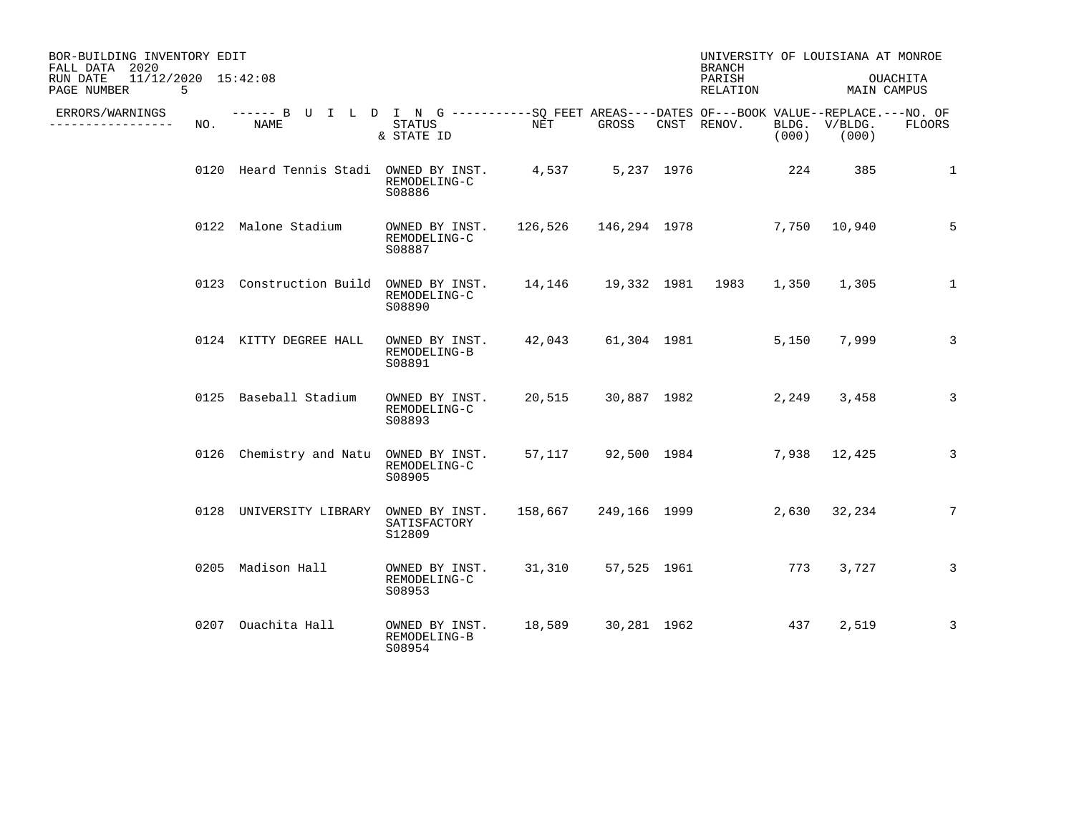| BOR-BUILDING INVENTORY EDIT<br>FALL DATA 2020        |     |                                                                                                    |                                          |                            |             | <b>BRANCH</b>      |       | UNIVERSITY OF LOUISIANA AT MONROE |               |
|------------------------------------------------------|-----|----------------------------------------------------------------------------------------------------|------------------------------------------|----------------------------|-------------|--------------------|-------|-----------------------------------|---------------|
| 11/12/2020 15:42:08<br>RUN DATE<br>PAGE NUMBER<br>-5 |     |                                                                                                    |                                          |                            |             | PARISH<br>RELATION |       | MAIN CAMPUS                       | OUACHITA      |
| ERRORS/WARNINGS<br>----------------                  | NO. | ------ B U I L D I N G ----------SO FEET AREAS----DATES OF---BOOK VALUE--REPLACE.---NO. OF<br>NAME | STATUS<br>& STATE ID                     | NET                        | GROSS       | CNST RENOV.        | (000) | BLDG. V/BLDG.<br>(000)            | <b>FLOORS</b> |
|                                                      |     | 0120 Heard Tennis Stadi OWNED BY INST. 4,537 5,237 1976                                            | REMODELING-C<br>S08886                   |                            |             |                    | 224   | 385                               | 1             |
|                                                      |     | 0122 Malone Stadium                                                                                | OWNED BY INST.<br>REMODELING-C<br>S08887 | 126,526 146,294 1978       |             |                    |       | 7,750 10,940                      | 5             |
|                                                      |     | 0123 Construction Build OWNED BY INST.                                                             | REMODELING-C<br>S08890                   | 14,146  19,332  1981  1983 |             |                    | 1,350 | 1,305                             | $\mathbf{1}$  |
|                                                      |     | 0124 KITTY DEGREE HALL                                                                             | OWNED BY INST.<br>REMODELING-B<br>S08891 | 42,043                     |             | 61,304 1981        | 5,150 | 7,999                             | $\mathbf{3}$  |
|                                                      |     | 0125 Baseball Stadium                                                                              | OWNED BY INST.<br>REMODELING-C<br>S08893 |                            |             | 20,515 30,887 1982 | 2,249 | 3,458                             | 3             |
|                                                      |     | 0126 Chemistry and Natu OWNED BY INST.                                                             | REMODELING-C<br>S08905                   |                            |             | 57,117 92,500 1984 |       | 7,938 12,425                      | 3             |
|                                                      |     | 0128 UNIVERSITY LIBRARY OWNED BY INST.                                                             | SATISFACTORY<br>S12809                   | 158,667 249,166 1999       |             |                    |       | 2,630 32,234                      | 7             |
|                                                      |     | 0205 Madison Hall                                                                                  | OWNED BY INST.<br>REMODELING-C<br>S08953 | 31,310                     | 57,525 1961 | 773                |       | 3,727                             | 3             |
|                                                      |     | 0207 Ouachita Hall                                                                                 | OWNED BY INST.<br>REMODELING-B<br>S08954 | 18,589                     | 30,281 1962 |                    | 437   | 2,519                             | 3             |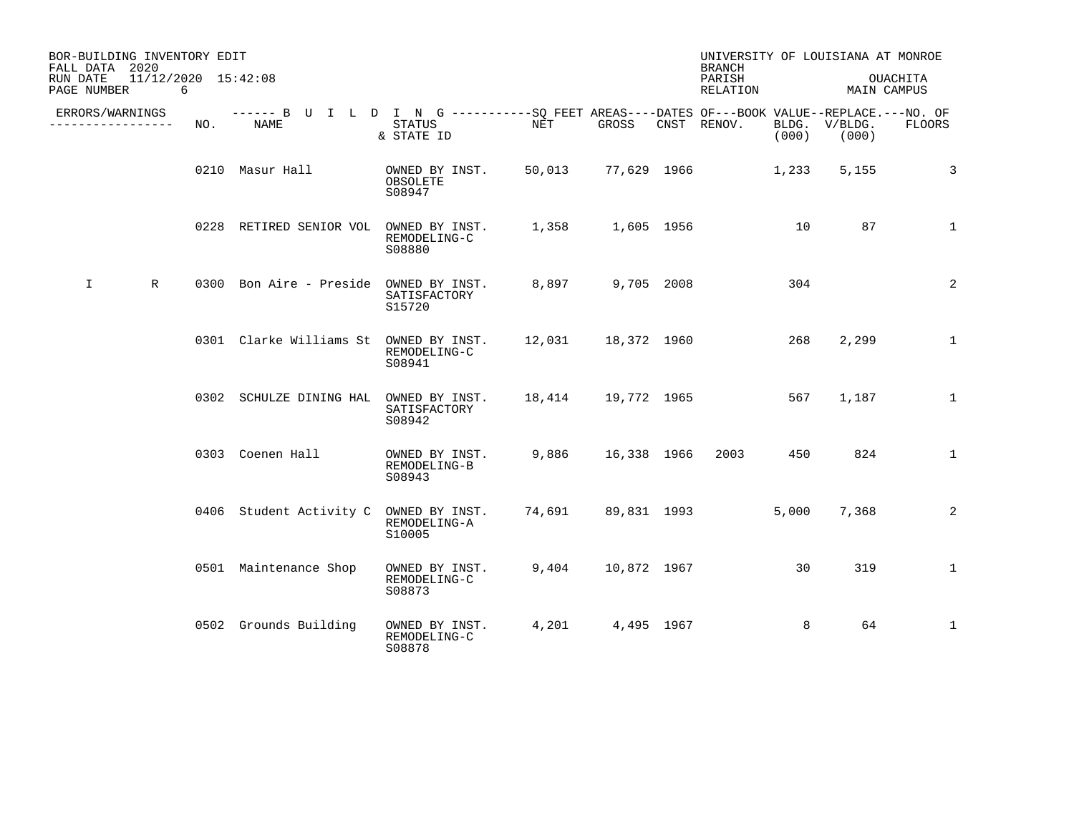| BOR-BUILDING INVENTORY EDIT<br>FALL DATA 2020 |                              |     |                                                                                                    |                                          |                    |             | <b>BRANCH</b>      |       | UNIVERSITY OF LOUISIANA AT MONROE |               |
|-----------------------------------------------|------------------------------|-----|----------------------------------------------------------------------------------------------------|------------------------------------------|--------------------|-------------|--------------------|-------|-----------------------------------|---------------|
| RUN DATE<br>PAGE NUMBER                       | $11/12/2020$ $15:42:08$<br>6 |     |                                                                                                    |                                          |                    |             | PARISH<br>RELATION |       | MAIN CAMPUS                       | OUACHITA      |
| ERRORS/WARNINGS<br>. <u>.</u>                 |                              | NO. | ------ B U I L D I N G ----------SO FEET AREAS----DATES OF---BOOK VALUE--REPLACE.---NO. OF<br>NAME | STATUS<br>& STATE ID                     | NET                | GROSS       | CNST RENOV.        | (000) | BLDG. V/BLDG.<br>(000)            | <b>FLOORS</b> |
|                                               |                              |     | 0210 Masur Hall                                                                                    | OWNED BY INST.<br>OBSOLETE<br>S08947     | 50,013             |             | 77,629 1966        | 1,233 | 5,155                             | 3             |
|                                               |                              |     | 0228 RETIRED SENIOR VOL                                                                            | OWNED BY INST.<br>REMODELING-C<br>S08880 | 1,358              | 1,605 1956  |                    | 10    | 87                                | $\mathbf{1}$  |
| I.                                            | R                            |     | 0300 Bon Aire - Preside OWNED BY INST.                                                             | SATISFACTORY<br>S15720                   | 8,897 9,705 2008   |             |                    | 304   |                                   | 2             |
|                                               |                              |     | 0301 Clarke Williams St OWNED BY INST.                                                             | REMODELING-C<br>S08941                   | 12,031 18,372 1960 |             |                    | 268   | 2,299                             | $\mathbf{1}$  |
|                                               |                              |     | 0302 SCHULZE DINING HAL OWNED BY INST.                                                             | SATISFACTORY<br>S08942                   |                    |             |                    | 567   | 1,187                             | $\mathbf{1}$  |
|                                               |                              |     | 0303 Coenen Hall                                                                                   | OWNED BY INST.<br>REMODELING-B<br>S08943 | 9,886              | 16,338 1966 | 2003               | 450   | 824                               | $\mathbf{1}$  |
|                                               |                              |     | 0406 Student Activity C OWNED BY INST.                                                             | REMODELING-A<br>S10005                   |                    |             | 74,691 89,831 1993 | 5,000 | 7,368                             | 2             |
|                                               |                              |     | 0501 Maintenance Shop                                                                              | OWNED BY INST.<br>REMODELING-C<br>S08873 | 9,404              | 10,872 1967 |                    | 30    | 319                               | $\mathbf{1}$  |
|                                               |                              |     | 0502 Grounds Building                                                                              | OWNED BY INST.<br>REMODELING-C<br>S08878 | 4,201              | 4,495 1967  |                    | 8     | 64                                | $\mathbf{1}$  |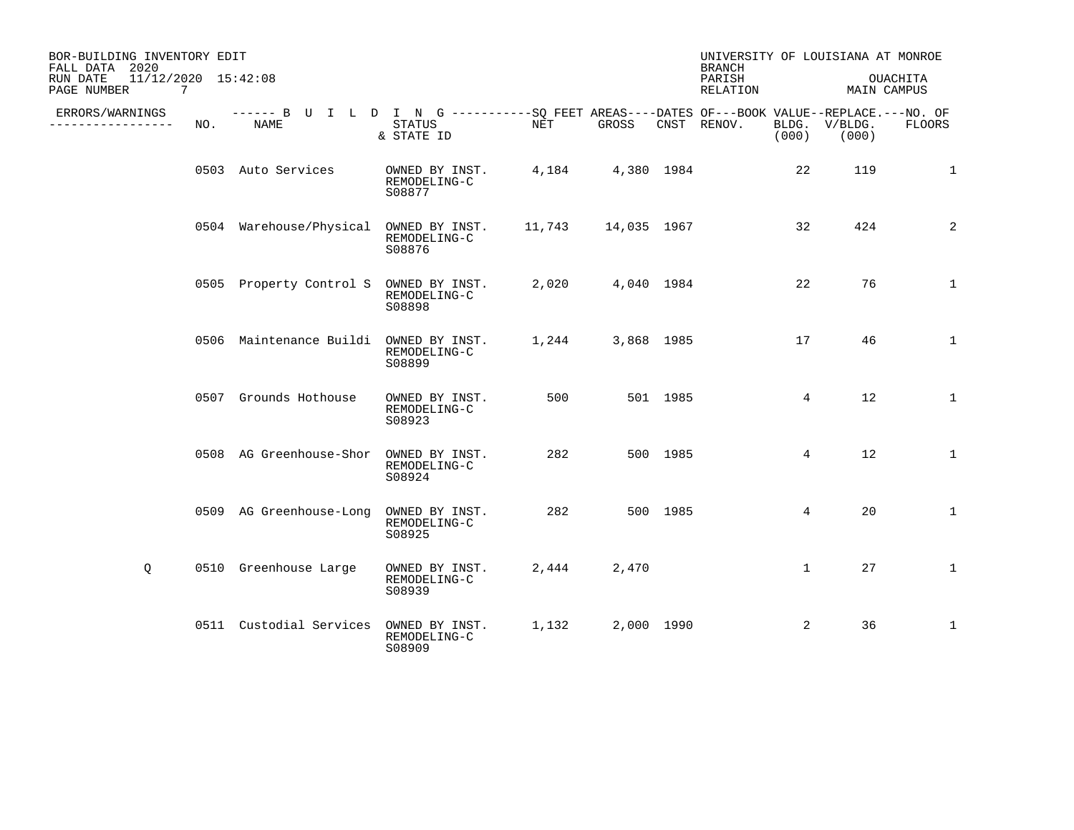| BOR-BUILDING INVENTORY EDIT<br>FALL DATA 2020                 |     |                                                                                                     |                                          |                      |                  |          | UNIVERSITY OF LOUISIANA AT MONROE<br><b>BRANCH</b> |                 |                        |                         |
|---------------------------------------------------------------|-----|-----------------------------------------------------------------------------------------------------|------------------------------------------|----------------------|------------------|----------|----------------------------------------------------|-----------------|------------------------|-------------------------|
| 11/12/2020 15:42:08<br>RUN DATE<br>PAGE NUMBER<br>$7^{\circ}$ |     |                                                                                                     |                                          |                      |                  |          | PARISH<br>RELATION                                 |                 |                        | OUACHITA<br>MAIN CAMPUS |
| ERRORS/WARNINGS<br>. _ _ _ _ _ _ _ _ _ _ _ _ _ _              | NO. | ------ B U I L D I N G -----------SO FEET AREAS----DATES OF---BOOK VALUE--REPLACE.---NO. OF<br>NAME | STATUS<br>& STATE ID                     | $\operatorname{NET}$ | GROSS            |          | CNST RENOV.                                        | (000)           | BLDG. V/BLDG.<br>(000) | <b>FLOORS</b>           |
|                                                               |     | 0503 Auto Services                                                                                  | OWNED BY INST.<br>REMODELING-C<br>S08877 |                      | 4,184 4,380 1984 |          |                                                    | 22              | 119                    | $\mathbf{1}$            |
|                                                               |     | 0504 Warehouse/Physical OWNED BY INST. 11,743 14,035 1967                                           | REMODELING-C<br>S08876                   |                      |                  |          |                                                    | 32              | 424                    | 2                       |
|                                                               |     | 0505 Property Control S OWNED BY INST.                                                              | REMODELING-C<br>S08898                   |                      | 2,020 4,040 1984 |          |                                                    | 22              | 76                     | $\mathbf{1}$            |
|                                                               |     | 0506 Maintenance Buildi OWNED BY INST.                                                              | REMODELING-C<br>S08899                   |                      | 1,244 3,868 1985 |          |                                                    | 17              | 46                     | $\mathbf{1}$            |
|                                                               |     | 0507 Grounds Hothouse                                                                               | OWNED BY INST.<br>REMODELING-C<br>S08923 | 500                  |                  | 501 1985 |                                                    | $4\overline{ }$ | 12                     | $\mathbf{1}$            |
|                                                               |     | 0508 AG Greenhouse-Shor OWNED BY INST.                                                              | REMODELING-C<br>S08924                   | 282                  |                  | 500 1985 |                                                    | 4               | 12                     | $\mathbf{1}$            |
|                                                               |     | 0509 AG Greenhouse-Long                                                                             | OWNED BY INST.<br>REMODELING-C<br>S08925 | 282                  |                  | 500 1985 |                                                    | 4               | 20                     | $\mathbf{1}$            |
| Q                                                             |     | 0510 Greenhouse Large                                                                               | OWNED BY INST.<br>REMODELING-C<br>S08939 | 2,444                | 2,470            |          |                                                    | $\mathbf{1}$    | 27                     | $\mathbf 1$             |
|                                                               |     | 0511 Custodial Services OWNED BY INST.                                                              | REMODELING-C<br>S08909                   | 1,132                | 2,000 1990       |          |                                                    | 2               | 36                     | $\mathbf{1}$            |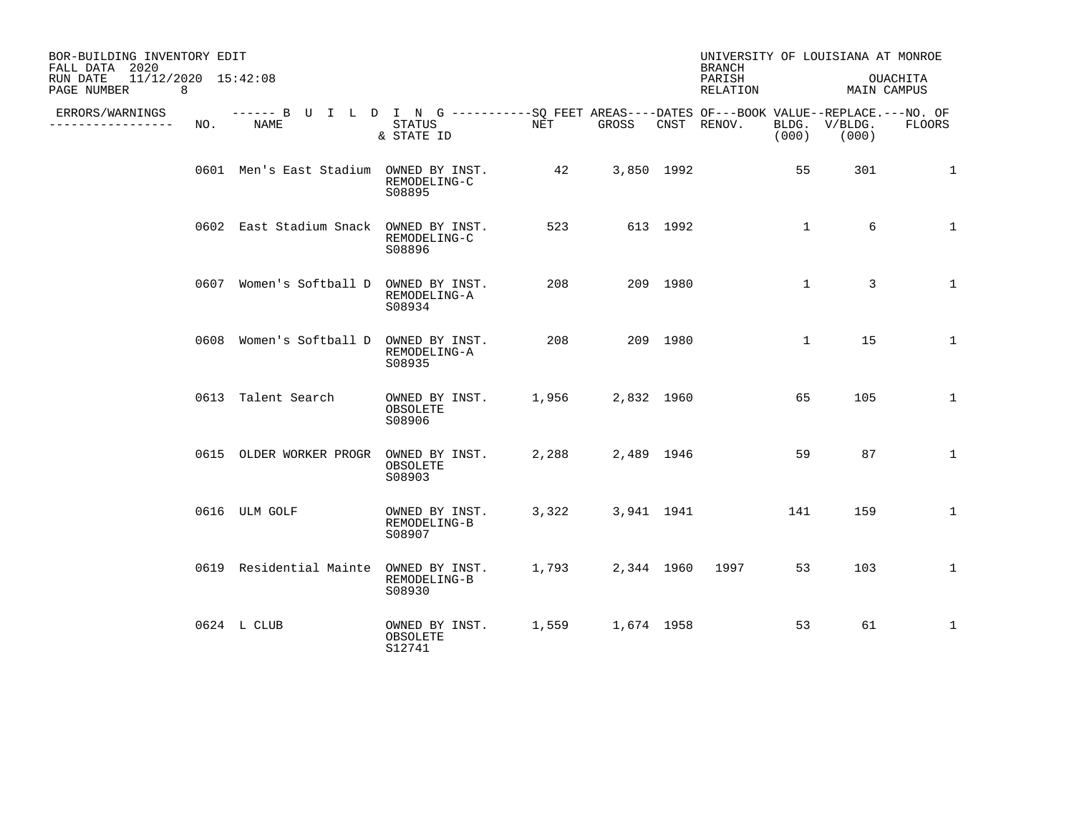| BOR-BUILDING INVENTORY EDIT<br>FALL DATA 2020       |     |                                                                                                    |                                          |       |            |          | <b>BRANCH</b>      |              | UNIVERSITY OF LOUISIANA AT MONROE |              |
|-----------------------------------------------------|-----|----------------------------------------------------------------------------------------------------|------------------------------------------|-------|------------|----------|--------------------|--------------|-----------------------------------|--------------|
| RUN DATE<br>11/12/2020 15:42:08<br>PAGE NUMBER<br>8 |     |                                                                                                    |                                          |       |            |          | PARISH<br>RELATION |              | MAIN CAMPUS                       | OUACHITA     |
| ERRORS/WARNINGS<br>----------------                 | NO. | ------ B U I L D I N G ----------SQ FEET AREAS----DATES OF---BOOK VALUE--REPLACE.---NO. OF<br>NAME | STATUS<br>& STATE ID                     | NET   | GROSS      |          | CNST RENOV.        | (000)        | BLDG. V/BLDG.<br>(000)            | FLOORS       |
|                                                     |     | 0601 Men's East Stadium OWNED BY INST.                                                             | REMODELING-C<br>S08895                   | 42    | 3,850 1992 |          |                    | 55           | 301                               | 1            |
|                                                     |     | 0602 East Stadium Snack OWNED BY INST.                                                             | REMODELING-C<br>S08896                   | 523   |            | 613 1992 |                    | $\mathbf{1}$ | 6                                 | $\mathbf{1}$ |
|                                                     |     | 0607 Women's Softball D OWNED BY INST.                                                             | REMODELING-A<br>S08934                   | 208   |            | 209 1980 |                    | $\mathbf{1}$ | 3                                 | $\mathbf{1}$ |
|                                                     |     | 0608 Women's Softball D OWNED BY INST.                                                             | REMODELING-A<br>S08935                   | 208   |            | 209 1980 |                    | $\mathbf{1}$ | 15                                | 1            |
|                                                     |     | 0613 Talent Search                                                                                 | OWNED BY INST.<br>OBSOLETE<br>S08906     | 1,956 | 2,832 1960 |          |                    | 65           | 105                               | $\mathbf 1$  |
|                                                     |     | 0615 OLDER WORKER PROGR                                                                            | OWNED BY INST.<br>OBSOLETE<br>S08903     | 2,288 | 2,489 1946 |          |                    | 59           | 87                                | $\mathbf{1}$ |
|                                                     |     | 0616 ULM GOLF                                                                                      | OWNED BY INST.<br>REMODELING-B<br>S08907 | 3,322 | 3,941 1941 |          |                    | 141          | 159                               | $\mathbf 1$  |
|                                                     |     | 0619 Residential Mainte OWNED BY INST.                                                             | REMODELING-B<br>S08930                   | 1,793 |            |          | 2,344 1960 1997    | 53           | 103                               | $\mathbf 1$  |
|                                                     |     | 0624 L CLUB                                                                                        | OWNED BY INST.<br>OBSOLETE<br>S12741     | 1,559 | 1,674 1958 |          |                    | 53           | 61                                | $\mathbf{1}$ |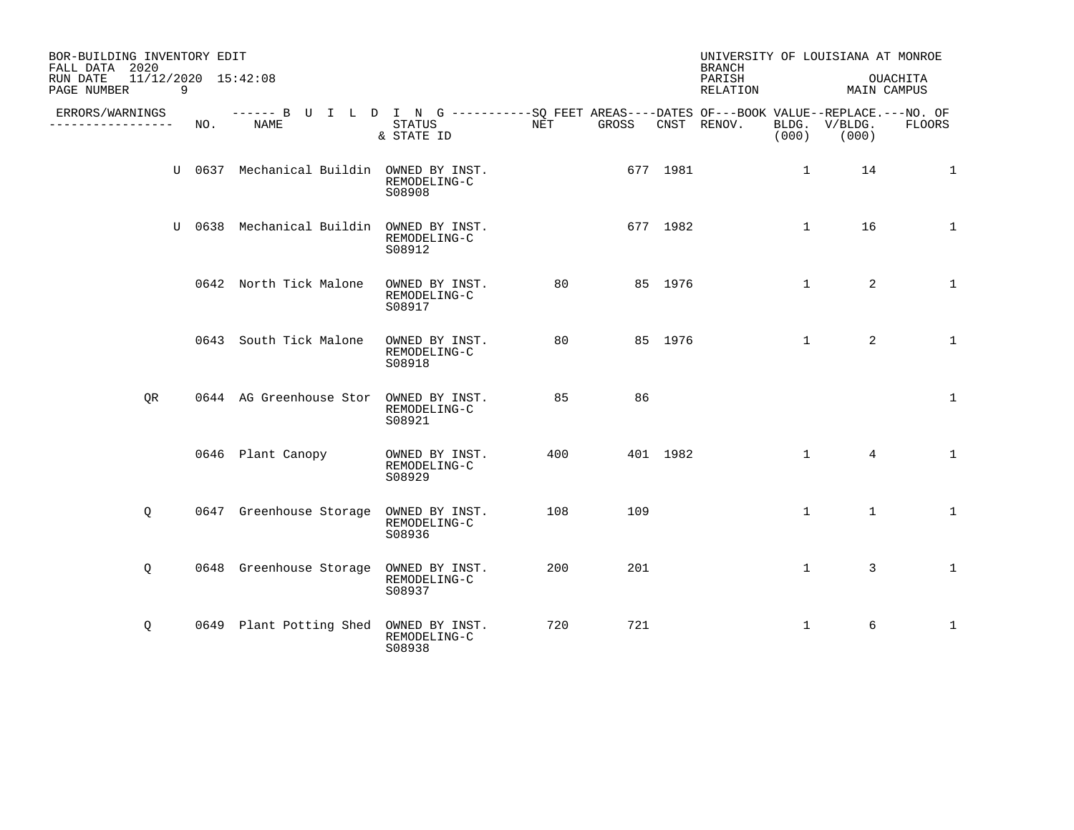| BOR-BUILDING INVENTORY EDIT<br>FALL DATA 2020 |                |                                                                                                    |                                          |     |          |          | UNIVERSITY OF LOUISIANA AT MONROE<br><b>BRANCH</b> |              |                        |                         |
|-----------------------------------------------|----------------|----------------------------------------------------------------------------------------------------|------------------------------------------|-----|----------|----------|----------------------------------------------------|--------------|------------------------|-------------------------|
| RUN DATE<br>PAGE NUMBER                       | $\overline{9}$ | 11/12/2020 15:42:08                                                                                |                                          |     |          |          | PARISH<br>RELATION                                 |              |                        | OUACHITA<br>MAIN CAMPUS |
| ERRORS/WARNINGS<br>------------------         | NO.            | ------ B U I L D I N G ----------SO FEET AREAS----DATES OF---BOOK VALUE--REPLACE.---NO. OF<br>NAME | STATUS<br>& STATE ID                     | NET | GROSS    |          | CNST RENOV.                                        | (000)        | BLDG. V/BLDG.<br>(000) | <b>FLOORS</b>           |
|                                               |                | U 0637 Mechanical Buildin OWNED BY INST.                                                           | REMODELING-C<br>S08908                   |     | 677 1981 |          |                                                    | $\mathbf{1}$ | 14                     | $\mathbf 1$             |
|                                               |                | U 0638 Mechanical Buildin OWNED BY INST.                                                           | REMODELING-C<br>S08912                   |     |          | 677 1982 |                                                    | $\mathbf{1}$ | 16                     | $\mathbf 1$             |
|                                               |                | 0642 North Tick Malone                                                                             | OWNED BY INST.<br>REMODELING-C<br>S08917 | 80  |          | 85 1976  |                                                    | $\mathbf{1}$ | 2                      | 1                       |
|                                               |                | 0643 South Tick Malone                                                                             | OWNED BY INST.<br>REMODELING-C<br>S08918 | 80  |          | 85 1976  |                                                    | $\mathbf{1}$ | 2                      | $\mathbf 1$             |
| OR.                                           |                | 0644 AG Greenhouse Stor OWNED BY INST.                                                             | REMODELING-C<br>S08921                   | 85  | 86       |          |                                                    |              |                        | $\mathbf{1}$            |
|                                               |                | 0646 Plant Canopy                                                                                  | OWNED BY INST.<br>REMODELING-C<br>S08929 | 400 |          | 401 1982 |                                                    | $\mathbf{1}$ | $\overline{4}$         | $\mathbf{1}$            |
| Q                                             |                | 0647 Greenhouse Storage OWNED BY INST.                                                             | REMODELING-C<br>S08936                   | 108 | 109      |          |                                                    | $\mathbf 1$  | $\mathbf{1}$           | $\mathbf 1$             |
| Q                                             |                | 0648 Greenhouse Storage OWNED BY INST.                                                             | REMODELING-C<br>S08937                   | 200 | 201      |          |                                                    | $\mathbf{1}$ | 3                      | $\mathbf 1$             |
| Q                                             |                | 0649 Plant Potting Shed                                                                            | OWNED BY INST.<br>REMODELING-C<br>S08938 | 720 | 721      |          |                                                    | 1            | 6                      | 1                       |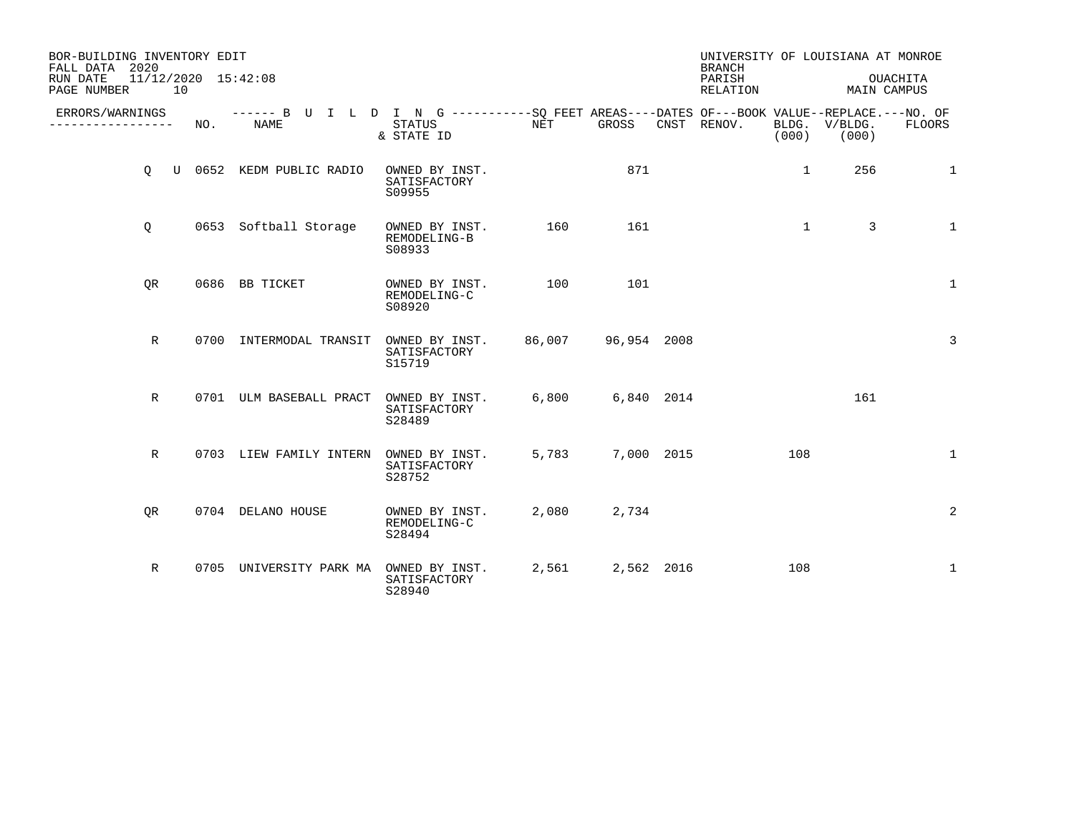| BOR-BUILDING INVENTORY EDIT<br>FALL DATA 2020        |                                                                                                    |                                          |        |             | UNIVERSITY OF LOUISIANA AT MONROE<br><b>BRANCH</b> |              |                        |                         |
|------------------------------------------------------|----------------------------------------------------------------------------------------------------|------------------------------------------|--------|-------------|----------------------------------------------------|--------------|------------------------|-------------------------|
| 11/12/2020 15:42:08<br>RUN DATE<br>PAGE NUMBER<br>10 |                                                                                                    |                                          |        |             | PARISH<br>RELATION                                 |              |                        | OUACHITA<br>MAIN CAMPUS |
| ERRORS/WARNINGS<br>NO.<br>-----------                | ------ B U I L D I N G ----------SO FEET AREAS----DATES OF---BOOK VALUE--REPLACE.---NO. OF<br>NAME | STATUS<br>& STATE ID                     | NET    | GROSS       | CNST RENOV.                                        | (000)        | BLDG. V/BLDG.<br>(000) | FLOORS                  |
| $\circ$                                              | U 0652 KEDM PUBLIC RADIO                                                                           | OWNED BY INST.<br>SATISFACTORY<br>S09955 |        | 871         |                                                    | $\mathbf{1}$ | 256                    | 1                       |
| Q                                                    | 0653 Softball Storage                                                                              | OWNED BY INST.<br>REMODELING-B<br>S08933 | 160    | 161         |                                                    | $\mathbf{1}$ | 3                      | $\mathbf{1}$            |
| OR                                                   | 0686 BB TICKET                                                                                     | OWNED BY INST.<br>REMODELING-C<br>S08920 | 100    | 101         |                                                    |              |                        | $\mathbf{1}$            |
| $\mathbb{R}$                                         | 0700 INTERMODAL TRANSIT                                                                            | OWNED BY INST.<br>SATISFACTORY<br>S15719 | 86,007 | 96,954 2008 |                                                    |              |                        | $\overline{3}$          |
| R                                                    | 0701 ULM BASEBALL PRACT                                                                            | OWNED BY INST.<br>SATISFACTORY<br>S28489 | 6,800  | 6,840 2014  |                                                    |              | 161                    |                         |
| R                                                    | 0703 LIEW FAMILY INTERN                                                                            | OWNED BY INST.<br>SATISFACTORY<br>S28752 | 5,783  | 7,000 2015  |                                                    | 108          |                        | $\mathbf{1}$            |
| OR                                                   | 0704 DELANO HOUSE                                                                                  | OWNED BY INST.<br>REMODELING-C<br>S28494 | 2,080  | 2,734       |                                                    |              |                        | 2                       |
| R                                                    | 0705 UNIVERSITY PARK MA                                                                            | OWNED BY INST.<br>SATISFACTORY<br>S28940 | 2,561  | 2,562 2016  |                                                    | 108          |                        | $\mathbf{1}$            |